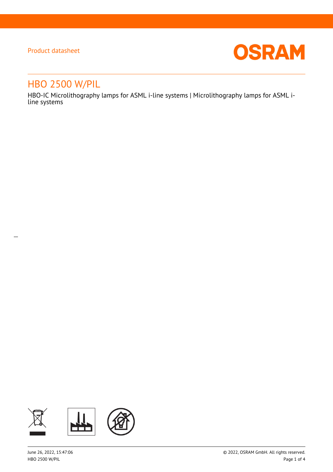$\overline{a}$ 



# HBO 2500 W/PIL

HBO-IC Microlithography lamps for ASML i-line systems | Microlithography lamps for ASML iline systems

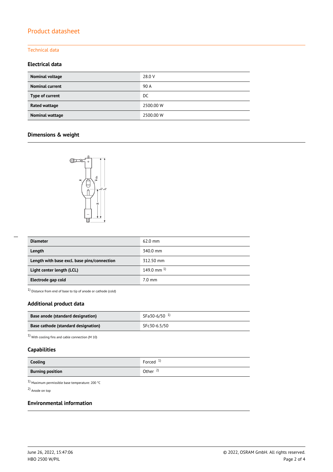#### Technical data

## **Electrical data**

| Nominal voltage        | 28.0 V    |
|------------------------|-----------|
| <b>Nominal current</b> | 90 A      |
| Type of current        | DC.       |
| Rated wattage          | 2500.00 W |
| Nominal wattage        | 2500.00 W |

## **Dimensions & weight**



| <b>Diameter</b>                             | $62.0$ mm        |
|---------------------------------------------|------------------|
| Length                                      | 340.0 mm         |
| Length with base excl. base pins/connection | 312.50 mm        |
| Light center length (LCL)                   | 149.0 mm $^{1}$  |
| Electrode gap cold                          | $7.0 \text{ mm}$ |

1) Distance from end of base to tip of anode or cathode (cold)

## **Additional product data**

| Base anode (standard designation)   | SFa30-6/50 <sup>1)</sup> |
|-------------------------------------|--------------------------|
| Base cathode (standard designation) | SFc30-6.5/50             |

 $1)$  With cooling fins and cable connection (M  $10)$ 

## **Capabilities**

| Cooling                 | Forced $1$          |
|-------------------------|---------------------|
| <b>Burning position</b> | Other $\frac{2}{3}$ |

1) Maximum permissible base temperature: 200 °C

2) Anode on top

## **Environmental information**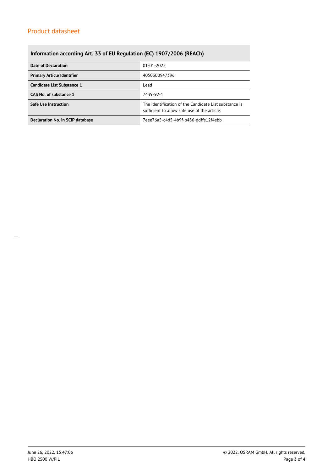# **Information according Art. 33 of EU Regulation (EC) 1907/2006 (REACh)**

| Date of Declaration               | 01-01-2022                                                                                            |  |  |
|-----------------------------------|-------------------------------------------------------------------------------------------------------|--|--|
| <b>Primary Article Identifier</b> | 4050300947396                                                                                         |  |  |
| Candidate List Substance 1        | Lead                                                                                                  |  |  |
| CAS No. of substance 1            | 7439-92-1                                                                                             |  |  |
| <b>Safe Use Instruction</b>       | The identification of the Candidate List substance is<br>sufficient to allow safe use of the article. |  |  |
| Declaration No. in SCIP database  | 7eee76a5-c4d5-4b9f-b456-ddffe12f4ebb                                                                  |  |  |